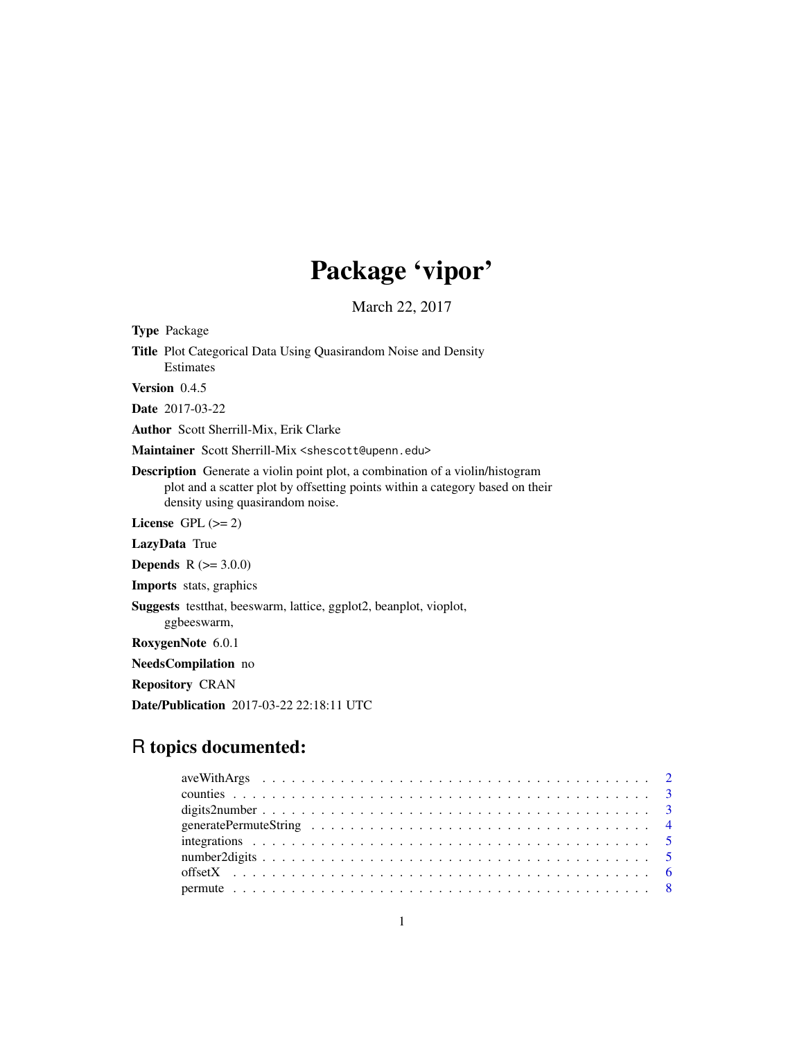## Package 'vipor'

March 22, 2017

<span id="page-0-0"></span>Type Package Title Plot Categorical Data Using Quasirandom Noise and Density Estimates Version 0.4.5 Date 2017-03-22 Author Scott Sherrill-Mix, Erik Clarke Maintainer Scott Sherrill-Mix <shescott@upenn.edu> Description Generate a violin point plot, a combination of a violin/histogram plot and a scatter plot by offsetting points within a category based on their density using quasirandom noise. License GPL  $(>= 2)$ LazyData True **Depends** R  $(>= 3.0.0)$ Imports stats, graphics Suggests testthat, beeswarm, lattice, ggplot2, beanplot, vioplot, ggbeeswarm, RoxygenNote 6.0.1 NeedsCompilation no Repository CRAN

Date/Publication 2017-03-22 22:18:11 UTC

## R topics documented: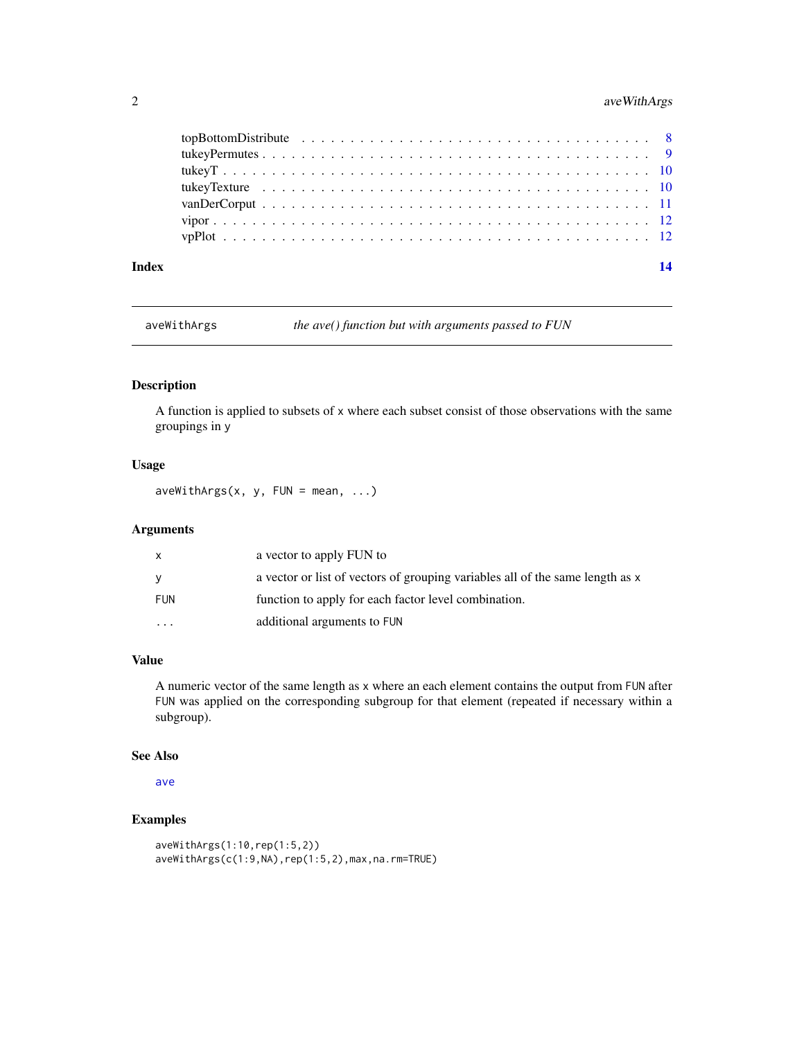#### <span id="page-1-0"></span>2 aveWithArgs

| Index | 14 |
|-------|----|

aveWithArgs *the ave() function but with arguments passed to FUN*

#### Description

A function is applied to subsets of x where each subset consist of those observations with the same groupings in y

#### Usage

 $a$ veWithArgs(x, y, FUN = mean, ...)

#### Arguments

| $\mathsf{x}$ | a vector to apply FUN to                                                      |
|--------------|-------------------------------------------------------------------------------|
| <b>V</b>     | a vector or list of vectors of grouping variables all of the same length as x |
| FUN          | function to apply for each factor level combination.                          |
| $\cdot$      | additional arguments to FUN                                                   |

#### Value

A numeric vector of the same length as x where an each element contains the output from FUN after FUN was applied on the corresponding subgroup for that element (repeated if necessary within a subgroup).

#### See Also

[ave](#page-0-0)

```
aveWithArgs(1:10,rep(1:5,2))
aveWithArgs(c(1:9,NA),rep(1:5,2),max,na.rm=TRUE)
```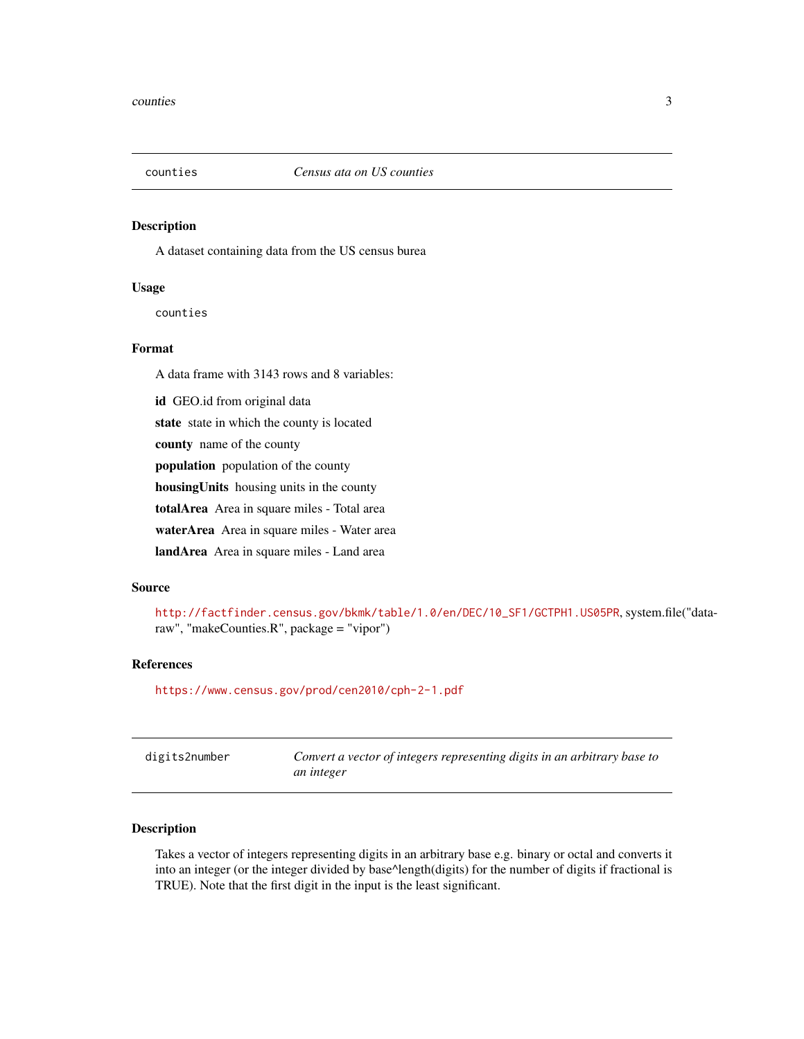<span id="page-2-0"></span>

A dataset containing data from the US census burea

#### Usage

counties

#### Format

A data frame with 3143 rows and 8 variables:

id GEO.id from original data state state in which the county is located

county name of the county

population population of the county

housingUnits housing units in the county

totalArea Area in square miles - Total area

waterArea Area in square miles - Water area

landArea Area in square miles - Land area

#### Source

```
http://factfinder.census.gov/bkmk/table/1.0/en/DEC/10_SF1/GCTPH1.US05PR, system.file("data-
raw", "makeCounties.R", package = "vipor")
```
#### References

<https://www.census.gov/prod/cen2010/cph-2-1.pdf>

| digits2number | Convert a vector of integers representing digits in an arbitrary base to |
|---------------|--------------------------------------------------------------------------|
|               | an integer                                                               |

#### Description

Takes a vector of integers representing digits in an arbitrary base e.g. binary or octal and converts it into an integer (or the integer divided by base^length(digits) for the number of digits if fractional is TRUE). Note that the first digit in the input is the least significant.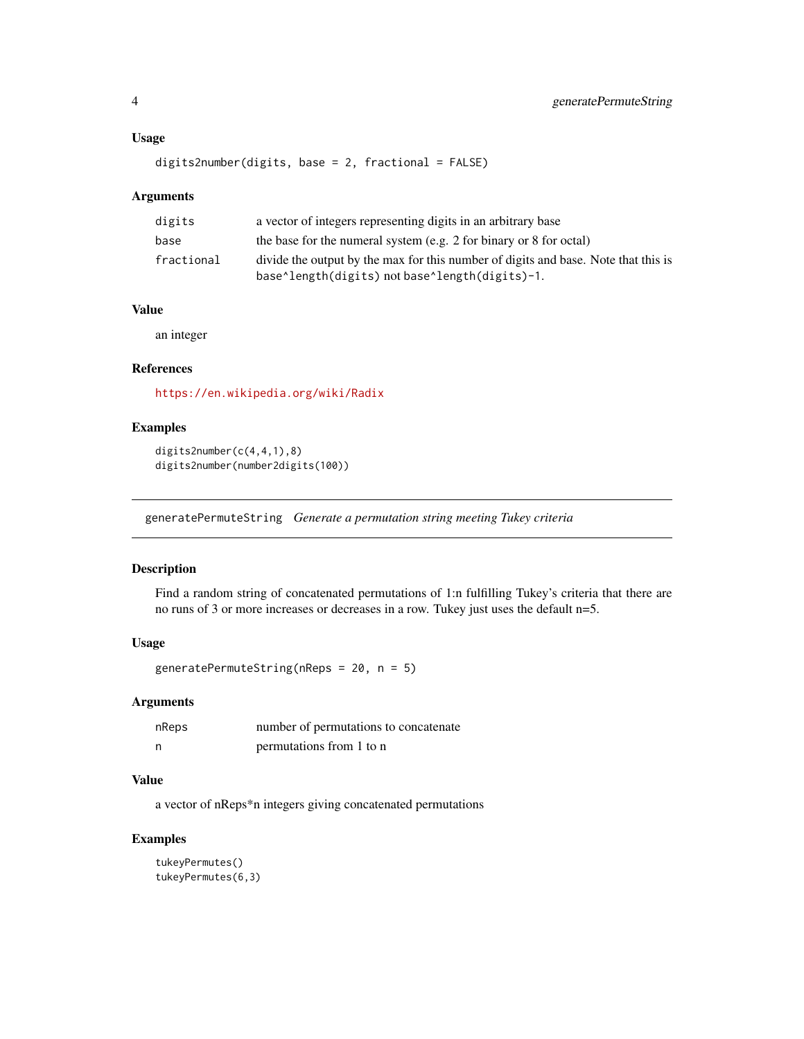#### <span id="page-3-0"></span>Usage

```
digits2number(digits, base = 2, fractional = FALSE)
```
#### Arguments

| digits     | a vector of integers representing digits in an arbitrary base                                                                        |
|------------|--------------------------------------------------------------------------------------------------------------------------------------|
| base       | the base for the numeral system (e.g. 2 for binary or 8 for octal)                                                                   |
| fractional | divide the output by the max for this number of digits and base. Note that this is<br>base^length(digits) not base^length(digits)-1. |

#### Value

an integer

#### References

<https://en.wikipedia.org/wiki/Radix>

#### Examples

digits2number(c(4,4,1),8) digits2number(number2digits(100))

generatePermuteString *Generate a permutation string meeting Tukey criteria*

#### Description

Find a random string of concatenated permutations of 1:n fulfilling Tukey's criteria that there are no runs of 3 or more increases or decreases in a row. Tukey just uses the default n=5.

#### Usage

```
generatePermuteString(nReps = 20, n = 5)
```
#### Arguments

| nReps | number of permutations to concatenate |
|-------|---------------------------------------|
| n     | permutations from 1 to n              |

#### Value

a vector of nReps\*n integers giving concatenated permutations

```
tukeyPermutes()
tukeyPermutes(6,3)
```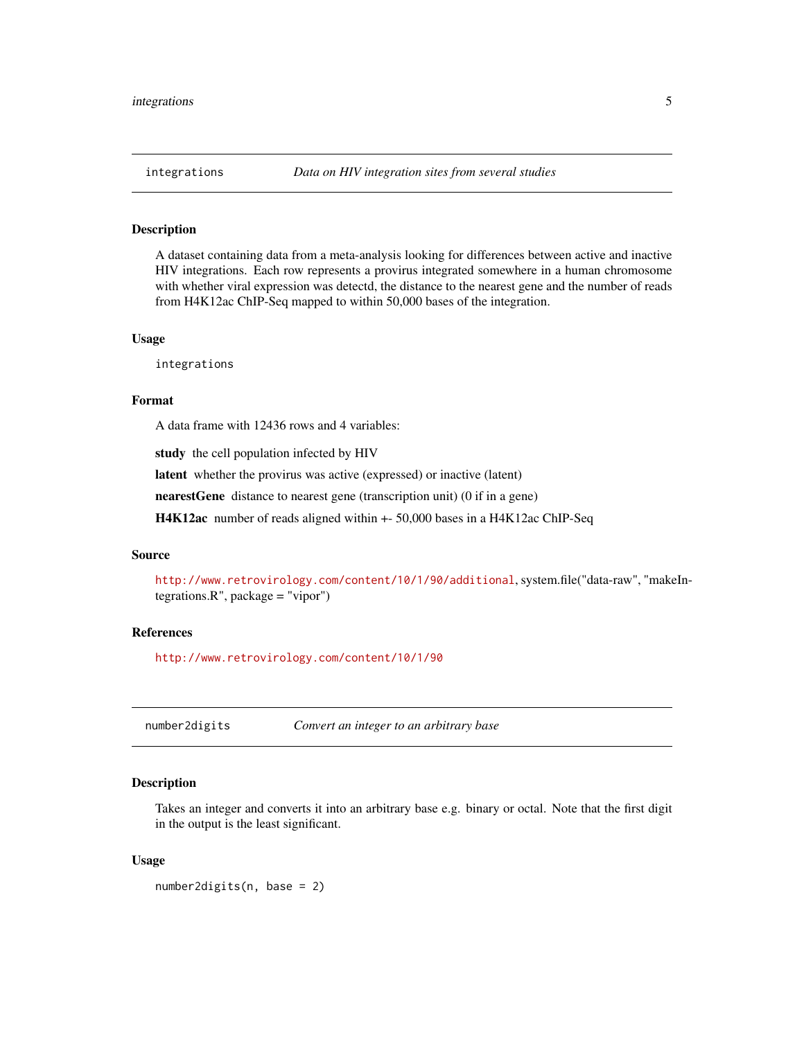<span id="page-4-0"></span>

A dataset containing data from a meta-analysis looking for differences between active and inactive HIV integrations. Each row represents a provirus integrated somewhere in a human chromosome with whether viral expression was detectd, the distance to the nearest gene and the number of reads from H4K12ac ChIP-Seq mapped to within 50,000 bases of the integration.

#### Usage

integrations

#### Format

A data frame with 12436 rows and 4 variables:

study the cell population infected by HIV

latent whether the provirus was active (expressed) or inactive (latent)

nearestGene distance to nearest gene (transcription unit) (0 if in a gene)

H4K12ac number of reads aligned within +- 50,000 bases in a H4K12ac ChIP-Seq

#### Source

<http://www.retrovirology.com/content/10/1/90/additional>, system.file("data-raw", "makeIntegrations.R", package = "vipor")

#### References

<http://www.retrovirology.com/content/10/1/90>

number2digits *Convert an integer to an arbitrary base*

#### Description

Takes an integer and converts it into an arbitrary base e.g. binary or octal. Note that the first digit in the output is the least significant.

#### Usage

number2digits(n, base = 2)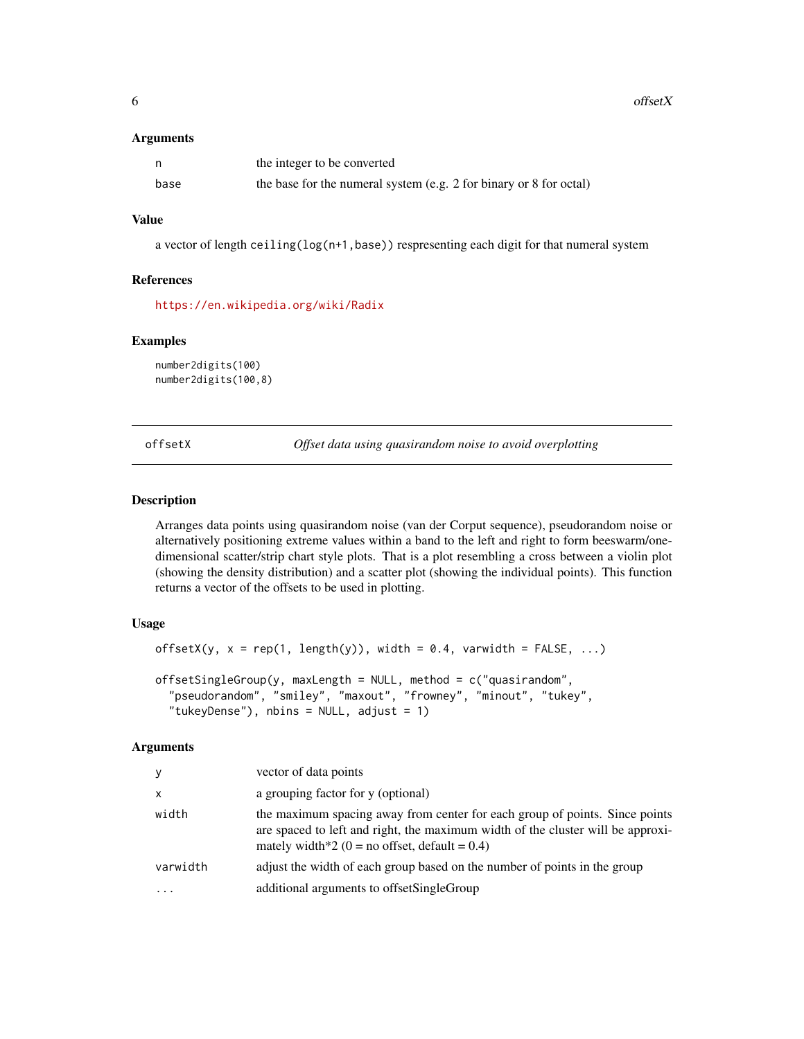<span id="page-5-0"></span> $\epsilon$  of  $\epsilon$  of  $\epsilon$  of  $\epsilon$  of  $\epsilon$  of  $\epsilon$  of  $\epsilon$  of  $\epsilon$  of  $\epsilon$  of  $\epsilon$  of  $\epsilon$  of  $\epsilon$  of  $\epsilon$  of  $\epsilon$  or  $\epsilon$  of  $\epsilon$  or  $\epsilon$  or  $\epsilon$  or  $\epsilon$  or  $\epsilon$  or  $\epsilon$  or  $\epsilon$  or  $\epsilon$  or  $\epsilon$  or  $\epsilon$  or  $\epsilon$  or  $\epsilon$  or  $\epsilon$ 

#### Arguments

|      | the integer to be converted                                        |
|------|--------------------------------------------------------------------|
| base | the base for the numeral system (e.g. 2 for binary or 8 for octal) |

#### Value

a vector of length ceiling(log(n+1,base)) respresenting each digit for that numeral system

#### References

<https://en.wikipedia.org/wiki/Radix>

#### Examples

number2digits(100) number2digits(100,8)

<span id="page-5-1"></span>offsetX *Offset data using quasirandom noise to avoid overplotting*

#### Description

Arranges data points using quasirandom noise (van der Corput sequence), pseudorandom noise or alternatively positioning extreme values within a band to the left and right to form beeswarm/onedimensional scatter/strip chart style plots. That is a plot resembling a cross between a violin plot (showing the density distribution) and a scatter plot (showing the individual points). This function returns a vector of the offsets to be used in plotting.

#### Usage

```
offsetX(y, x = rep(1, length(y)), width = 0.4, variable = FALSE, ...)offsetSingleGroup(y, maxLength = NULL, method = c("quasirandom",
  "pseudorandom", "smiley", "maxout", "frowney", "minout", "tukey",
  "tukeyDense"), nbins = NULL, adjust = 1)
```
#### Arguments

| y            | vector of data points                                                                                                                                                                                              |
|--------------|--------------------------------------------------------------------------------------------------------------------------------------------------------------------------------------------------------------------|
| $\mathsf{x}$ | a grouping factor for y (optional)                                                                                                                                                                                 |
| width        | the maximum spacing away from center for each group of points. Since points<br>are spaced to left and right, the maximum width of the cluster will be approxi-<br>mately width*2 (0 = no offset, default = $0.4$ ) |
| varwidth     | adjust the width of each group based on the number of points in the group                                                                                                                                          |
|              | additional arguments to offsetSingleGroup                                                                                                                                                                          |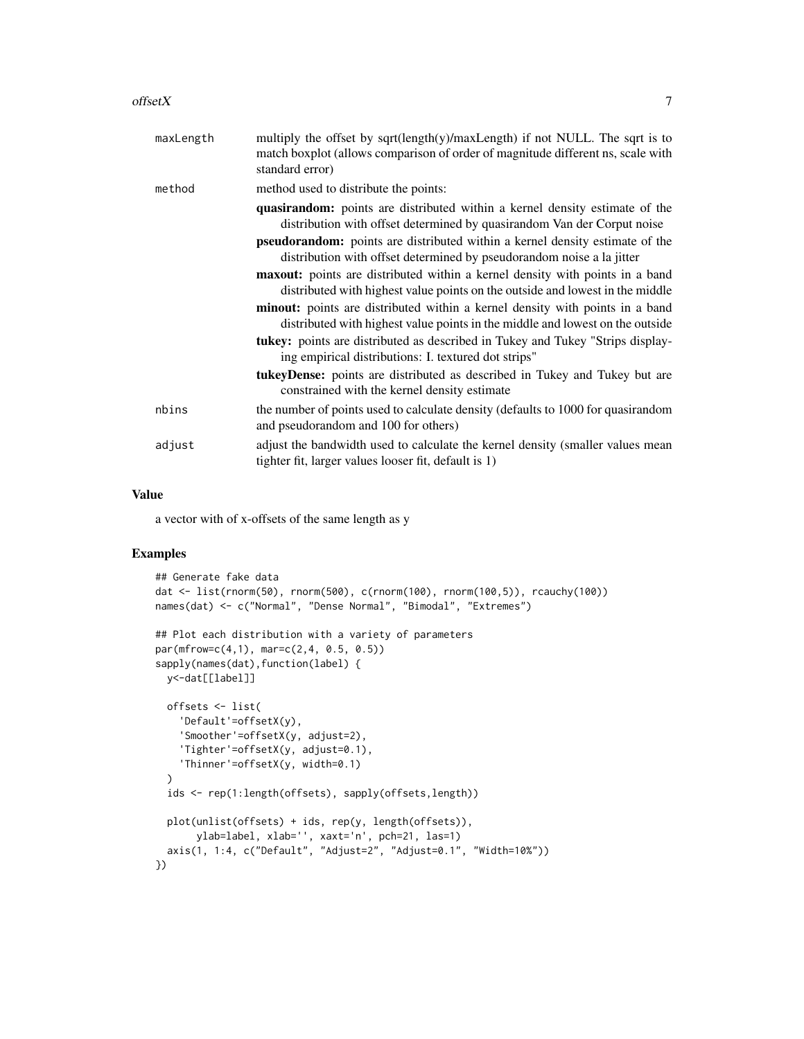| maxLength | multiply the offset by sqrt(length(y)/maxLength) if not NULL. The sqrt is to<br>match boxplot (allows comparison of order of magnitude different ns, scale with<br>standard error)                                                                                                                                            |
|-----------|-------------------------------------------------------------------------------------------------------------------------------------------------------------------------------------------------------------------------------------------------------------------------------------------------------------------------------|
| method    | method used to distribute the points:                                                                                                                                                                                                                                                                                         |
|           | <b>quasirandom:</b> points are distributed within a kernel density estimate of the<br>distribution with offset determined by quasirandom Van der Corput noise<br><b>pseudorandom:</b> points are distributed within a kernel density estimate of the<br>distribution with offset determined by pseudorandom noise a la jitter |
|           | maxout: points are distributed within a kernel density with points in a band<br>distributed with highest value points on the outside and lowest in the middle                                                                                                                                                                 |
|           | <b>minout:</b> points are distributed within a kernel density with points in a band<br>distributed with highest value points in the middle and lowest on the outside                                                                                                                                                          |
|           | tukey: points are distributed as described in Tukey and Tukey "Strips display-<br>ing empirical distributions: I. textured dot strips"                                                                                                                                                                                        |
|           | <b>tukeyDense:</b> points are distributed as described in Tukey and Tukey but are<br>constrained with the kernel density estimate                                                                                                                                                                                             |
| nbins     | the number of points used to calculate density (defaults to 1000 for quasirandom<br>and pseudorandom and 100 for others)                                                                                                                                                                                                      |
| adjust    | adjust the bandwidth used to calculate the kernel density (smaller values mean<br>tighter fit, larger values looser fit, default is 1)                                                                                                                                                                                        |
|           |                                                                                                                                                                                                                                                                                                                               |

#### Value

a vector with of x-offsets of the same length as y

```
## Generate fake data
dat <- list(rnorm(50), rnorm(500), c(rnorm(100), rnorm(100,5)), rcauchy(100))
names(dat) <- c("Normal", "Dense Normal", "Bimodal", "Extremes")
## Plot each distribution with a variety of parameters
par(mfrow=c(4,1), mar=c(2,4, 0.5, 0.5))
sapply(names(dat),function(label) {
  y<-dat[[label]]
  offsets <- list(
    'Default'=offsetX(y),
    'Smoother'=offsetX(y, adjust=2),
    'Tighter'=offsetX(y, adjust=0.1),
    'Thinner'=offsetX(y, width=0.1)
  \lambdaids <- rep(1:length(offsets), sapply(offsets,length))
  plot(unlist(offsets) + ids, rep(y, length(offsets)),
       ylab=label, xlab='', xaxt='n', pch=21, las=1)
  axis(1, 1:4, c("Default", "Adjust=2", "Adjust=0.1", "Width=10%"))
})
```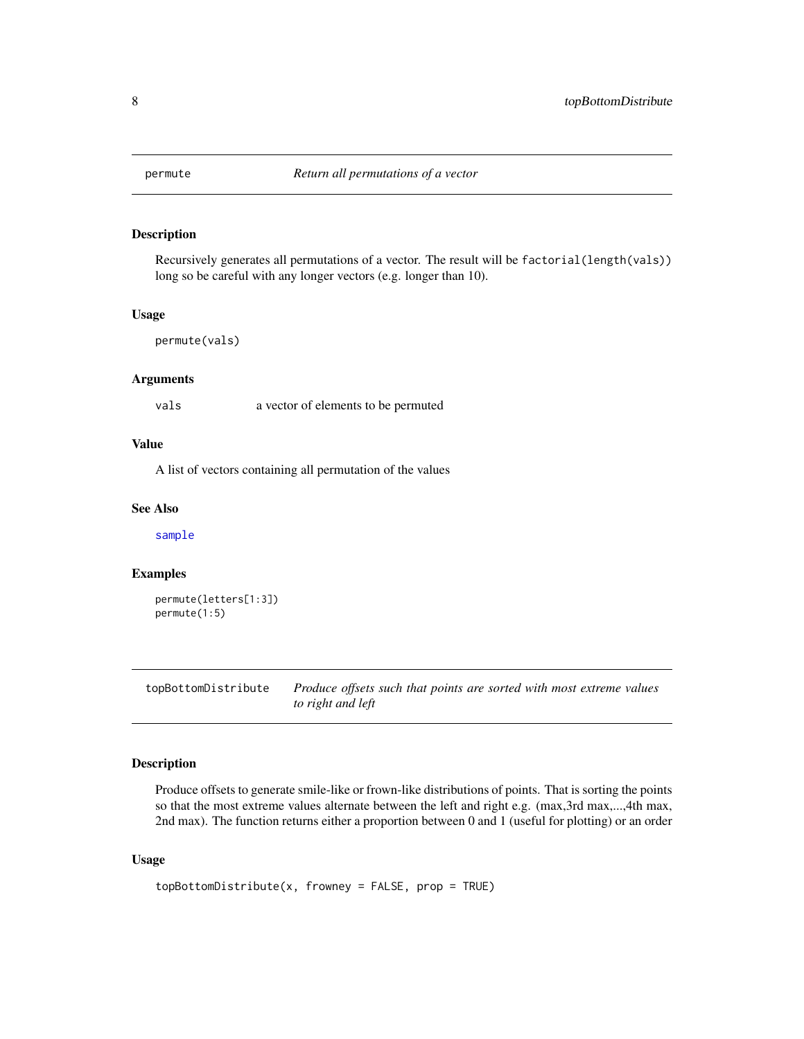<span id="page-7-0"></span>

Recursively generates all permutations of a vector. The result will be factorial(length(vals)) long so be careful with any longer vectors (e.g. longer than 10).

#### Usage

```
permute(vals)
```
#### Arguments

vals a vector of elements to be permuted

#### Value

A list of vectors containing all permutation of the values

#### See Also

[sample](#page-0-0)

#### Examples

```
permute(letters[1:3])
permute(1:5)
```
topBottomDistribute *Produce offsets such that points are sorted with most extreme values to right and left*

#### Description

Produce offsets to generate smile-like or frown-like distributions of points. That is sorting the points so that the most extreme values alternate between the left and right e.g. (max,3rd max,...,4th max, 2nd max). The function returns either a proportion between 0 and 1 (useful for plotting) or an order

#### Usage

```
topBottomDistribute(x, fromey = FALSE, prop = TRUE)
```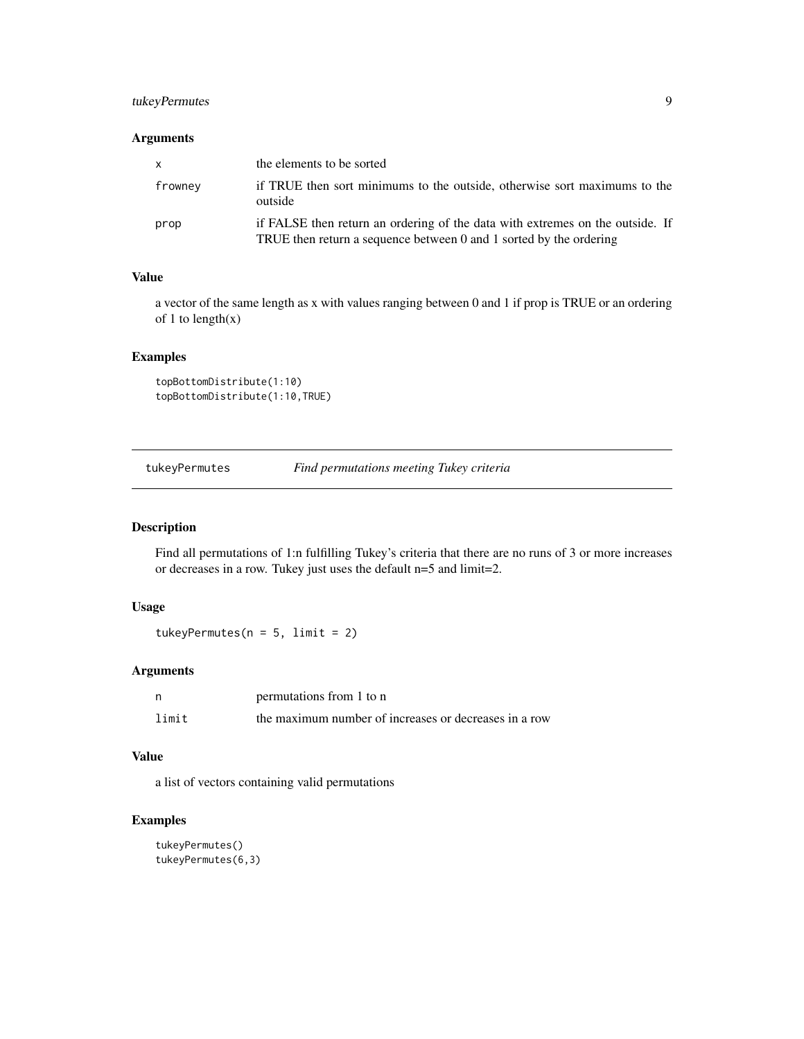#### <span id="page-8-0"></span>tukeyPermutes 9

#### Arguments

| $\mathsf{x}$ | the elements to be sorted                                                                                                                           |
|--------------|-----------------------------------------------------------------------------------------------------------------------------------------------------|
| frowney      | if TRUE then sort minimums to the outside, otherwise sort maximums to the<br>outside                                                                |
| prop         | if FALSE then return an ordering of the data with extremes on the outside. If<br>TRUE then return a sequence between 0 and 1 sorted by the ordering |

#### Value

a vector of the same length as x with values ranging between 0 and 1 if prop is TRUE or an ordering of 1 to  $length(x)$ 

#### Examples

```
topBottomDistribute(1:10)
topBottomDistribute(1:10,TRUE)
```
tukeyPermutes *Find permutations meeting Tukey criteria*

#### Description

Find all permutations of 1:n fulfilling Tukey's criteria that there are no runs of 3 or more increases or decreases in a row. Tukey just uses the default n=5 and limit=2.

#### Usage

tukeyPermutes( $n = 5$ , limit = 2)

#### Arguments

| - n   | permutations from 1 to n                              |
|-------|-------------------------------------------------------|
| limit | the maximum number of increases or decreases in a row |

#### Value

a list of vectors containing valid permutations

```
tukeyPermutes()
tukeyPermutes(6,3)
```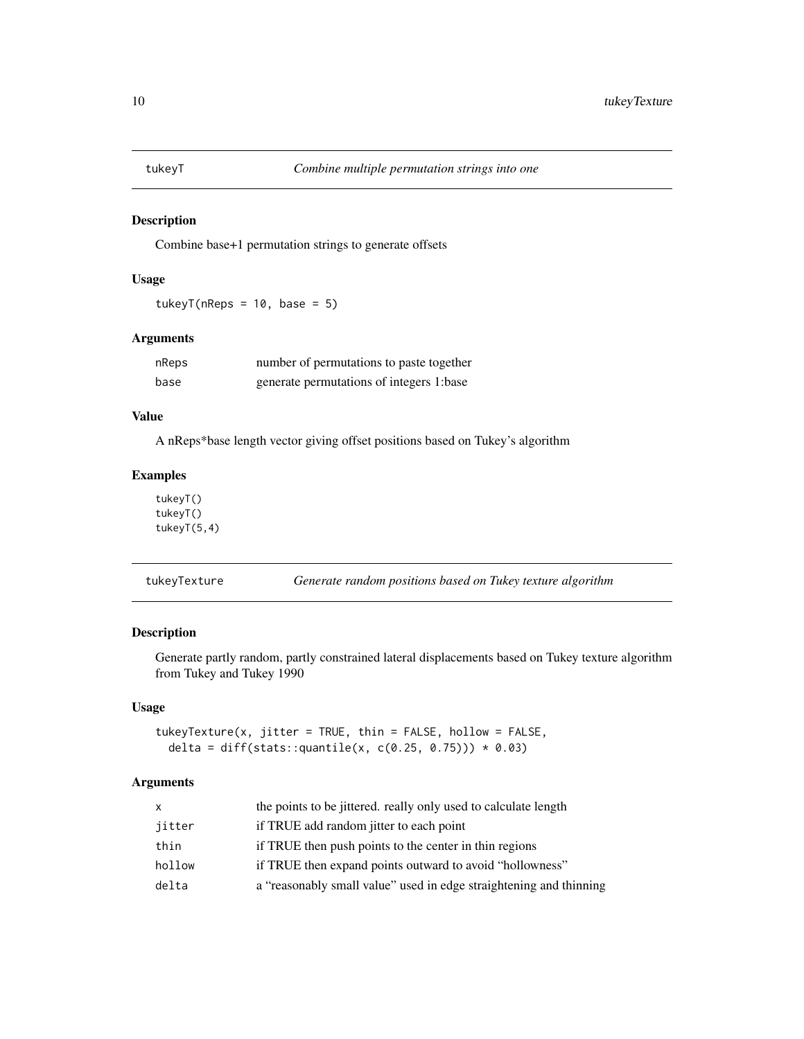<span id="page-9-0"></span>

Combine base+1 permutation strings to generate offsets

#### Usage

tukey $T(nReps = 10, base = 5)$ 

#### Arguments

| nReps | number of permutations to paste together |
|-------|------------------------------------------|
| base  | generate permutations of integers 1:base |

#### Value

A nReps\*base length vector giving offset positions based on Tukey's algorithm

#### Examples

tukeyT() tukeyT() tukeyT(5,4)

tukeyTexture *Generate random positions based on Tukey texture algorithm*

#### Description

Generate partly random, partly constrained lateral displacements based on Tukey texture algorithm from Tukey and Tukey 1990

#### Usage

tukeyTexture(x, jitter = TRUE, thin = FALSE, hollow = FALSE, delta = diff(stats::quantile(x, c(0.25, 0.75)))  $*$  0.03)

#### Arguments

| x      | the points to be jittered, really only used to calculate length    |
|--------|--------------------------------------------------------------------|
| jitter | if TRUE add random jitter to each point                            |
| thin   | if TRUE then push points to the center in thin regions             |
| hollow | if TRUE then expand points outward to avoid "hollowness"           |
| delta  | a "reasonably small value" used in edge straightening and thinning |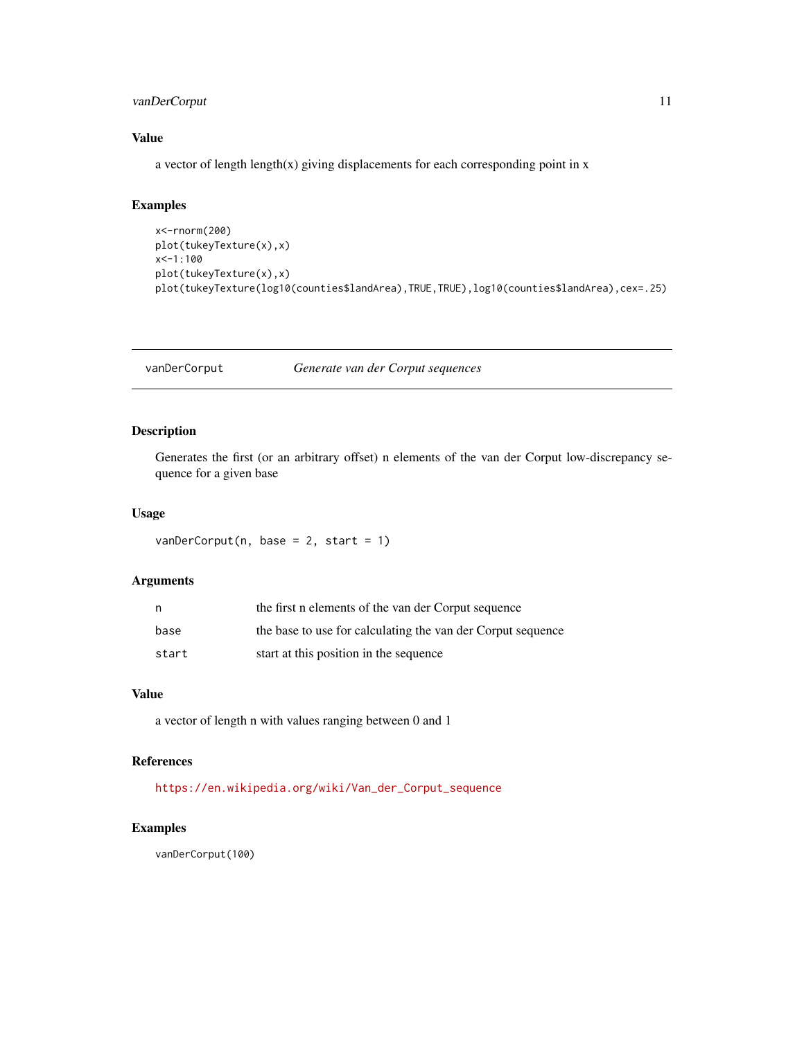#### <span id="page-10-0"></span>vanDerCorput 11

#### Value

a vector of length length(x) giving displacements for each corresponding point in  $x$ 

#### Examples

```
x<-rnorm(200)
plot(tukeyTexture(x),x)
x<-1:100
plot(tukeyTexture(x),x)
plot(tukeyTexture(log10(counties$landArea),TRUE,TRUE),log10(counties$landArea),cex=.25)
```
vanDerCorput *Generate van der Corput sequences*

#### Description

Generates the first (or an arbitrary offset) n elements of the van der Corput low-discrepancy sequence for a given base

#### Usage

 $vanDerCorput(n, base = 2, start = 1)$ 

#### Arguments

| n,    | the first n elements of the van der Corput sequence         |
|-------|-------------------------------------------------------------|
| base  | the base to use for calculating the van der Corput sequence |
| start | start at this position in the sequence                      |

#### Value

a vector of length n with values ranging between 0 and 1

#### References

[https://en.wikipedia.org/wiki/Van\\_der\\_Corput\\_sequence](https://en.wikipedia.org/wiki/Van_der_Corput_sequence)

#### Examples

vanDerCorput(100)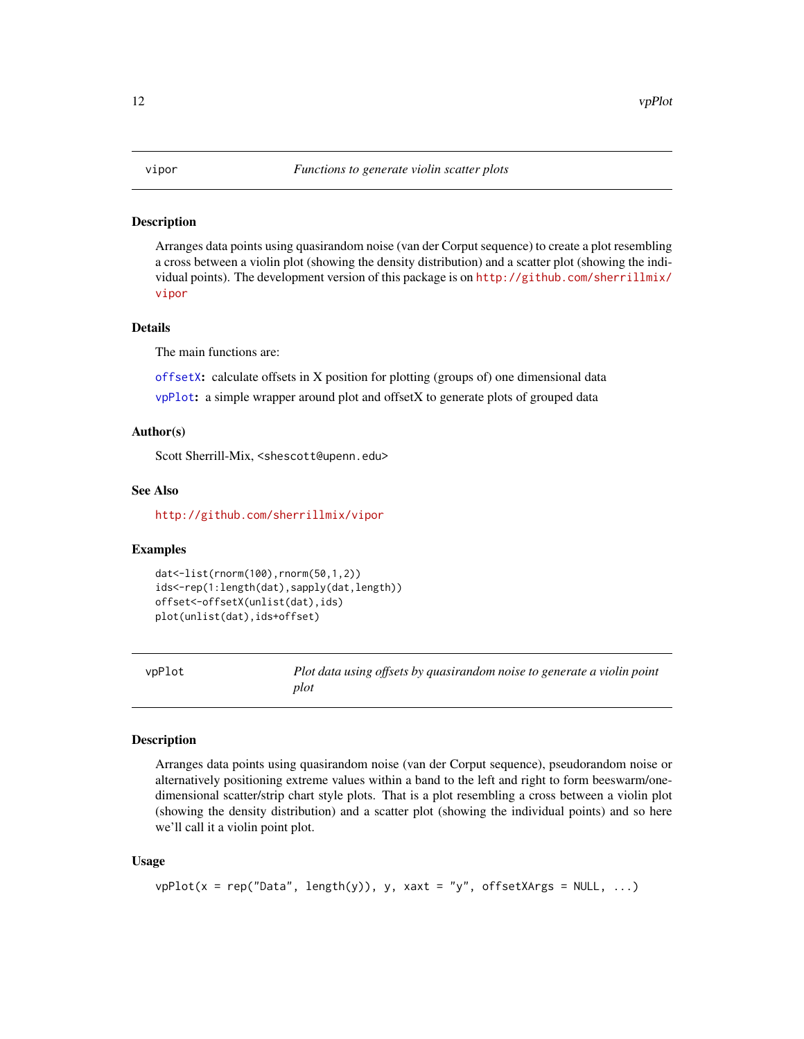<span id="page-11-0"></span>Arranges data points using quasirandom noise (van der Corput sequence) to create a plot resembling a cross between a violin plot (showing the density distribution) and a scatter plot (showing the individual points). The development version of this package is on [http://github.com/sherrillmix/](http://github.com/sherrillmix/vipor) [vipor](http://github.com/sherrillmix/vipor)

#### Details

The main functions are:

[offsetX](#page-5-1): calculate offsets in X position for plotting (groups of) one dimensional data [vpPlot](#page-11-1): a simple wrapper around plot and offsetX to generate plots of grouped data

#### Author(s)

Scott Sherrill-Mix, <shescott@upenn.edu>

#### See Also

<http://github.com/sherrillmix/vipor>

#### Examples

```
dat<-list(rnorm(100),rnorm(50,1,2))
ids<-rep(1:length(dat),sapply(dat,length))
offset<-offsetX(unlist(dat),ids)
plot(unlist(dat),ids+offset)
```
<span id="page-11-1"></span>vpPlot *Plot data using offsets by quasirandom noise to generate a violin point plot*

#### Description

Arranges data points using quasirandom noise (van der Corput sequence), pseudorandom noise or alternatively positioning extreme values within a band to the left and right to form beeswarm/onedimensional scatter/strip chart style plots. That is a plot resembling a cross between a violin plot (showing the density distribution) and a scatter plot (showing the individual points) and so here we'll call it a violin point plot.

#### Usage

```
vpPlot(x = rep("Data", length(y)), y, xaxt = "y", offsetXArgs = NULL, ...)
```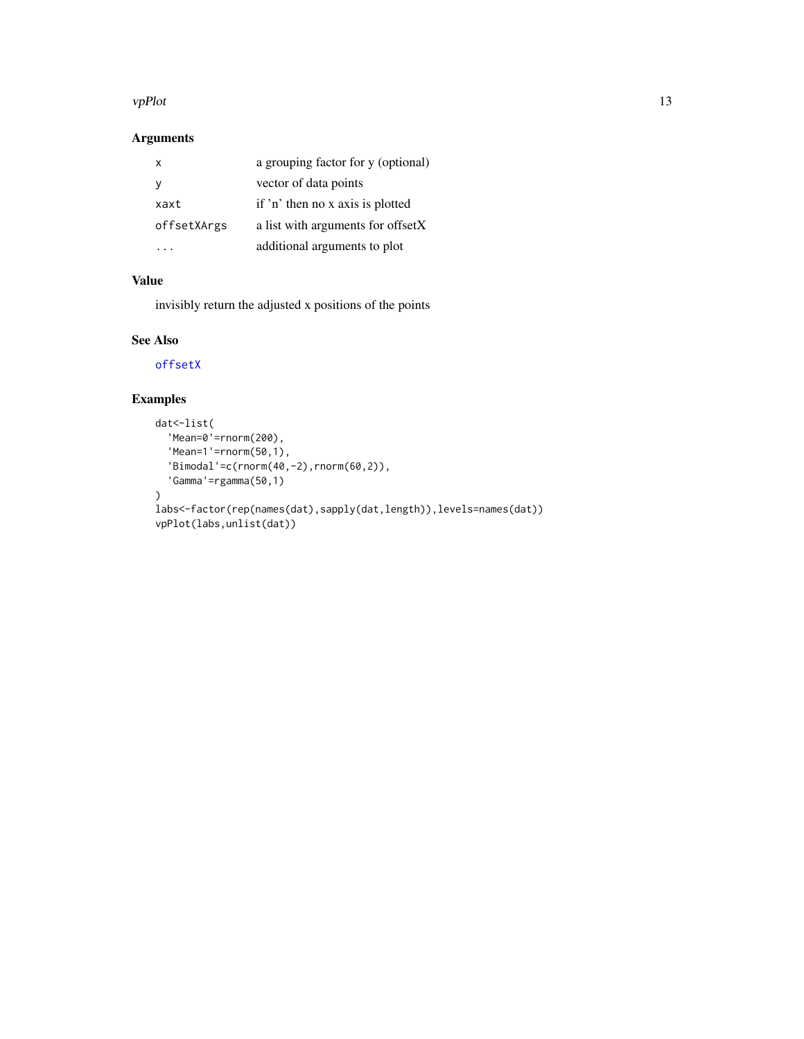#### <span id="page-12-0"></span>vpPlot the state of the state of the state of the state of the state of the state of the state of the state of the state of the state of the state of the state of the state of the state of the state of the state of the sta

#### Arguments

| x           | a grouping factor for y (optional) |
|-------------|------------------------------------|
| У           | vector of data points              |
| xaxt        | if 'n' then no x axis is plotted   |
| offsetXArgs | a list with arguments for offsetX  |
|             | additional arguments to plot       |

#### Value

invisibly return the adjusted x positions of the points

### See Also

[offsetX](#page-5-1)

```
dat<-list(
  'Mean=0'=rnorm(200),
  'Mean=1'=rnorm(50,1),
  'Bimodal'=c(rnorm(40,-2),rnorm(60,2)),
  'Gamma'=rgamma(50,1)
\mathcal{L}labs<-factor(rep(names(dat),sapply(dat,length)),levels=names(dat))
vpPlot(labs,unlist(dat))
```